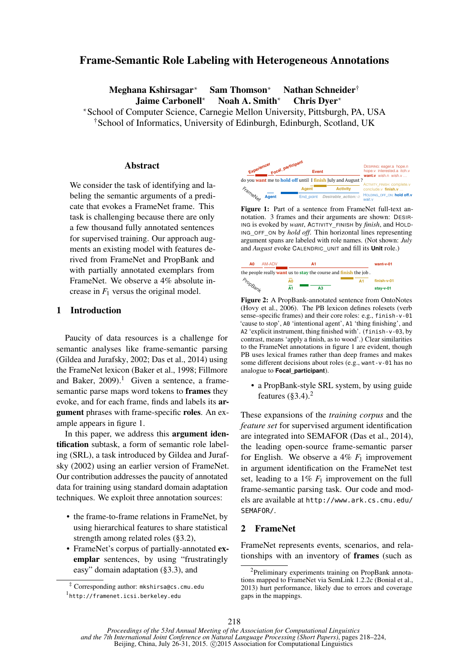# Frame-Semantic Role Labeling with Heterogeneous Annotations

Meghana Kshirsagar<sup>∗</sup> Sam Thomson<sup>∗</sup> Nathan Schneider†

Jaime Carbonell<sup>∗</sup> Noah A. Smith<sup>∗</sup> Chris Dyer<sup>∗</sup>

<sup>∗</sup>School of Computer Science, Carnegie Mellon University, Pittsburgh, PA, USA †School of Informatics, University of Edinburgh, Edinburgh, Scotland, UK

#### Abstract

We consider the task of identifying and labeling the semantic arguments of a predicate that evokes a FrameNet frame. This task is challenging because there are only a few thousand fully annotated sentences for supervised training. Our approach augments an existing model with features derived from FrameNet and PropBank and with partially annotated exemplars from FrameNet. We observe a 4% absolute increase in  $F_1$  versus the original model.

## 1 Introduction

Paucity of data resources is a challenge for semantic analyses like frame-semantic parsing (Gildea and Jurafsky, 2002; Das et al., 2014) using the FrameNet lexicon (Baker et al., 1998; Fillmore and Baker,  $2009$ ).<sup>1</sup> Given a sentence, a framesemantic parse maps word tokens to frames they evoke, and for each frame, finds and labels its argument phrases with frame-specific roles. An example appears in figure 1.

In this paper, we address this argument identification subtask, a form of semantic role labeling (SRL), a task introduced by Gildea and Jurafsky (2002) using an earlier version of FrameNet. Our contribution addresses the paucity of annotated data for training using standard domain adaptation techniques. We exploit three annotation sources:

- the frame-to-frame relations in FrameNet, by using hierarchical features to share statistical strength among related roles (§3.2),
- FrameNet's corpus of partially-annotated exemplar sentences, by using "frustratingly easy" domain adaptation (§3.3), and



ING is evoked by want, ACTIVITY\_FINISH by finish, and HOLD**argument spans are labeled with role names. (Not shown:** and *August* evoke CALENDRIC\_UNIT and fill its **Unit** role.) argument spans are labeled with role names. (Not shown: *July* ING\_OFF\_ON by *hold off*. Thin horizontal lines representing argument spans are labeled with role names. (Not shown: *July* **Figure 1:** Part of a sentence from FrameNet full-text an-<br>notation. 3 frames and their arguments are shown: DESIBnotation. 3 frames and their arguments are shown: DESIR-



Figure 2: A PropBank-annotated sentence from OntoNotes (Hovy et al., 2006). The PB lexicon defines rolesets (verb sense–specific frames) and their core roles: e.g., finish-v-01 'cause to stop', A0 'intentional agent', A1 'thing finishing', and A2 'explicit instrument, thing finished with'. (finish-v-03, by contrast, means 'apply a finish, as to wood'.) Clear similarities to the FrameNet annotations in figure 1 are evident, though PB uses lexical frames rather than deep frames and makes some different decisions about roles (e.g., want-v-01 has no analogue to **Focal\_participant**).

• a PropBank-style SRL system, by using guide features  $(83.4)$ .<sup>2</sup>

These expansions of the *training corpus* and the *feature set* for supervised argument identification are integrated into SEMAFOR (Das et al., 2014), the leading open-source frame-semantic parser for English. We observe a  $4\%$   $F_1$  improvement in argument identification on the FrameNet test set, leading to a  $1\%$   $F_1$  improvement on the full frame-semantic parsing task. Our code and models are available at http://www.ark.cs.cmu.edu/ SEMAFOR/.

## 2 FrameNet

FrameNet represents events, scenarios, and relationships with an inventory of frames (such as

<sup>‡</sup> Corresponding author: mkshirsa@cs.cmu.edu

<sup>1</sup> http://framenet.icsi.berkeley.edu

<sup>&</sup>lt;sup>2</sup>Preliminary experiments training on PropBank annotations mapped to FrameNet via SemLink 1.2.2c (Bonial et al., 2013) hurt performance, likely due to errors and coverage gaps in the mappings.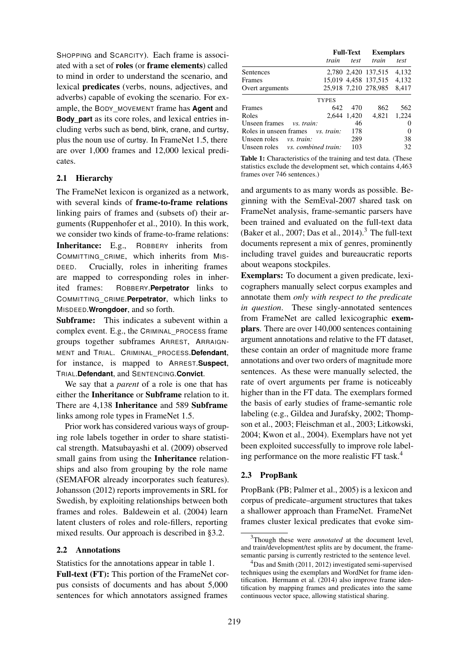SHOPPING and SCARCITY). Each frame is associated with a set of roles (or frame elements) called to mind in order to understand the scenario, and lexical predicates (verbs, nouns, adjectives, and adverbs) capable of evoking the scenario. For example, the BODY\_MOVEMENT frame has **Agent** and **Body** part as its core roles, and lexical entries including verbs such as bend, blink, crane, and curtsy, plus the noun use of curtsy. In FrameNet 1.5, there are over 1,000 frames and 12,000 lexical predicates.

## 2.1 Hierarchy

The FrameNet lexicon is organized as a network, with several kinds of frame-to-frame relations linking pairs of frames and (subsets of) their arguments (Ruppenhofer et al., 2010). In this work, we consider two kinds of frame-to-frame relations: Inheritance: E.g., ROBBERY inherits from COMMITTING\_CRIME, which inherits from MIS-DEED. Crucially, roles in inheriting frames are mapped to corresponding roles in inherited frames: ROBBERY.**Perpetrator** links to COMMITTING\_CRIME.**Perpetrator**, which links to MISDEED.**Wrongdoer**, and so forth.

Subframe: This indicates a subevent within a complex event. E.g., the CRIMINAL\_PROCESS frame groups together subframes ARREST, ARRAIGN-MENT and TRIAL. CRIMINAL\_PROCESS.**Defendant**, for instance, is mapped to ARREST.**Suspect**, TRIAL.**Defendant**, and SENTENCING.**Convict**.

We say that a *parent* of a role is one that has either the Inheritance or Subframe relation to it. There are 4,138 Inheritance and 589 Subframe links among role types in FrameNet 1.5.

Prior work has considered various ways of grouping role labels together in order to share statistical strength. Matsubayashi et al. (2009) observed small gains from using the Inheritance relationships and also from grouping by the role name (SEMAFOR already incorporates such features). Johansson (2012) reports improvements in SRL for Swedish, by exploiting relationships between both frames and roles. Baldewein et al. (2004) learn latent clusters of roles and role-fillers, reporting mixed results. Our approach is described in §3.2.

### 2.2 Annotations

Statistics for the annotations appear in table 1.

Full-text (FT): This portion of the FrameNet corpus consists of documents and has about 5,000 sentences for which annotators assigned frames

|                                         |              | <b>Full-Text</b> | <b>Exemplars</b>     |          |
|-----------------------------------------|--------------|------------------|----------------------|----------|
|                                         | train        | test             | train                | test     |
| Sentences                               |              |                  | 2,780 2,420 137,515  | 4,132    |
| Frames                                  |              |                  | 15,019 4,458 137,515 | 4,132    |
| Overt arguments                         |              |                  | 25,918 7,210 278,985 | 8,417    |
|                                         | <b>TYPES</b> |                  |                      |          |
| Frames                                  | 642          | 470              | 862                  | 562      |
| Roles                                   |              | 2,644 1,420      | 4,821                | 1,224    |
| Unseen frames<br>vs. train:             |              | 46               |                      | $_{0}$   |
| Roles in unseen frames vs. train:       |              | 178              |                      | $\theta$ |
| Unseen roles <i>vs. train:</i>          |              | 289              |                      | 38       |
| Unseen roles vs. <i>combined train:</i> |              | 103              |                      | 32       |

Table 1: Characteristics of the training and test data. (These statistics exclude the development set, which contains 4,463 frames over 746 sentences.)

and arguments to as many words as possible. Beginning with the SemEval-2007 shared task on FrameNet analysis, frame-semantic parsers have been trained and evaluated on the full-text data (Baker et al., 2007; Das et al., 2014).<sup>3</sup> The full-text documents represent a mix of genres, prominently including travel guides and bureaucratic reports about weapons stockpiles.

Exemplars: To document a given predicate, lexicographers manually select corpus examples and annotate them *only with respect to the predicate in question*. These singly-annotated sentences from FrameNet are called lexicographic exemplars. There are over 140,000 sentences containing argument annotations and relative to the FT dataset, these contain an order of magnitude more frame annotations and over two orders of magnitude more sentences. As these were manually selected, the rate of overt arguments per frame is noticeably higher than in the FT data. The exemplars formed the basis of early studies of frame-semantic role labeling (e.g., Gildea and Jurafsky, 2002; Thompson et al., 2003; Fleischman et al., 2003; Litkowski, 2004; Kwon et al., 2004). Exemplars have not yet been exploited successfully to improve role labeling performance on the more realistic FT task.<sup>4</sup>

## 2.3 PropBank

PropBank (PB; Palmer et al., 2005) is a lexicon and corpus of predicate–argument structures that takes a shallower approach than FrameNet. FrameNet frames cluster lexical predicates that evoke sim-

<sup>3</sup>Though these were *annotated* at the document level, and train/development/test splits are by document, the framesemantic parsing is currently restricted to the sentence level.

<sup>4</sup>Das and Smith (2011, 2012) investigated semi-supervised techniques using the exemplars and WordNet for frame identification. Hermann et al. (2014) also improve frame identification by mapping frames and predicates into the same continuous vector space, allowing statistical sharing.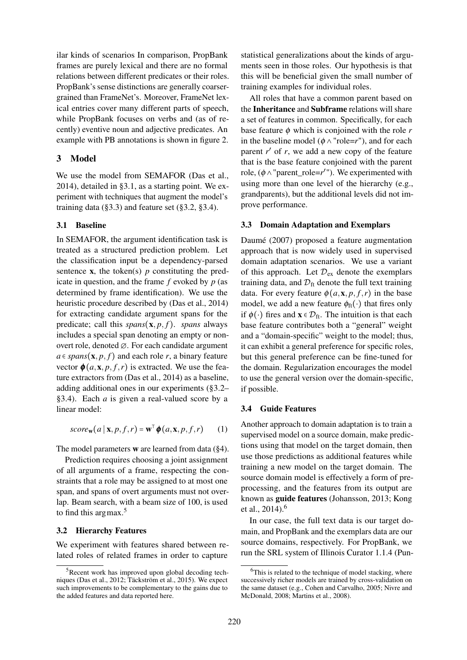ilar kinds of scenarios In comparison, PropBank frames are purely lexical and there are no formal relations between different predicates or their roles. PropBank's sense distinctions are generally coarsergrained than FrameNet's. Moreover, FrameNet lexical entries cover many different parts of speech, while PropBank focuses on verbs and (as of recently) eventive noun and adjective predicates. An example with PB annotations is shown in figure 2.

### 3 Model

We use the model from SEMAFOR (Das et al., 2014), detailed in §3.1, as a starting point. We experiment with techniques that augment the model's training data  $(\S3.3)$  and feature set  $(\S3.2, \S3.4)$ .

### 3.1 Baseline

In SEMAFOR, the argument identification task is treated as a structured prediction problem. Let the classification input be a dependency-parsed sentence  $\bf{x}$ , the token(s) *p* constituting the predicate in question, and the frame *f* evoked by *p* (as determined by frame identification). We use the heuristic procedure described by (Das et al., 2014) for extracting candidate argument spans for the predicate; call this  $spans(\mathbf{x}, p, f)$ . *spans* always includes a special span denoting an empty or nonovert role, denoted ∅. For each candidate argument  $a \in spans(\mathbf{x}, p, f)$  and each role *r*, a binary feature vector  $\phi(a, x, p, f, r)$  is extracted. We use the feature extractors from (Das et al., 2014) as a baseline, adding additional ones in our experiments (§3.2– §3.4). Each *a* is given a real-valued score by a linear model:

$$
score_{\mathbf{w}}(a \mid \mathbf{x}, p, f, r) = \mathbf{w}^{\top} \boldsymbol{\phi}(a, \mathbf{x}, p, f, r) \qquad (1)
$$

The model parameters w are learned from data (§4).

Prediction requires choosing a joint assignment of all arguments of a frame, respecting the constraints that a role may be assigned to at most one span, and spans of overt arguments must not overlap. Beam search, with a beam size of 100, is used to find this argmax.<sup>5</sup>

#### 3.2 Hierarchy Features

We experiment with features shared between related roles of related frames in order to capture

statistical generalizations about the kinds of arguments seen in those roles. Our hypothesis is that this will be beneficial given the small number of training examples for individual roles.

All roles that have a common parent based on the Inheritance and Subframe relations will share a set of features in common. Specifically, for each base feature  $\phi$  which is conjoined with the role  $r$ in the baseline model ( $\phi \land \text{"role=r"}$ ), and for each parent  $r'$  of  $r$ , we add a new copy of the feature that is the base feature conjoined with the parent role,  $(\phi \land \text{"parent\_role=r''})$ . We experimented with using more than one level of the hierarchy (e.g., grandparents), but the additional levels did not improve performance.

### 3.3 Domain Adaptation and Exemplars

Daumé (2007) proposed a feature augmentation approach that is now widely used in supervised domain adaptation scenarios. We use a variant of this approach. Let  $\mathcal{D}_{ex}$  denote the exemplars training data, and  $\mathcal{D}_{ft}$  denote the full text training data. For every feature  $\phi(a, x, p, f, r)$  in the base model, we add a new feature  $\phi_{ft}(\cdot)$  that fires only if  $\phi(\cdot)$  fires and  $\mathbf{x} \in \mathcal{D}_{\text{ft}}$ . The intuition is that each base feature contributes both a "general" weight and a "domain-specific" weight to the model; thus, it can exhibit a general preference for specific roles, but this general preference can be fine-tuned for the domain. Regularization encourages the model to use the general version over the domain-specific, if possible.

#### 3.4 Guide Features

Another approach to domain adaptation is to train a supervised model on a source domain, make predictions using that model on the target domain, then use those predictions as additional features while training a new model on the target domain. The source domain model is effectively a form of preprocessing, and the features from its output are known as guide features (Johansson, 2013; Kong et al.,  $2014$ ).<sup>6</sup>

In our case, the full text data is our target domain, and PropBank and the exemplars data are our source domains, respectively. For PropBank, we run the SRL system of Illinois Curator 1.1.4 (Pun-

<sup>&</sup>lt;sup>5</sup>Recent work has improved upon global decoding techniques (Das et al., 2012; Täckström et al., 2015). We expect such improvements to be complementary to the gains due to the added features and data reported here.

 $6$ This is related to the technique of model stacking, where successively richer models are trained by cross-validation on the same dataset (e.g., Cohen and Carvalho, 2005; Nivre and McDonald, 2008; Martins et al., 2008).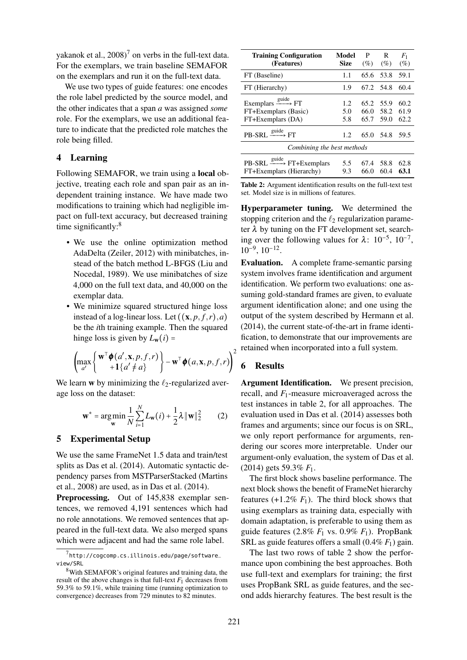yakanok et al.,  $2008$ <sup>7</sup> on verbs in the full-text data. For the exemplars, we train baseline SEMAFOR on the exemplars and run it on the full-text data.

We use two types of guide features: one encodes the role label predicted by the source model, and the other indicates that a span *a* was assigned *some* role. For the exemplars, we use an additional feature to indicate that the predicted role matches the role being filled.

## 4 Learning

Following SEMAFOR, we train using a local objective, treating each role and span pair as an independent training instance. We have made two modifications to training which had negligible impact on full-text accuracy, but decreased training time significantly:<sup>8</sup>

- We use the online optimization method AdaDelta (Zeiler, 2012) with minibatches, instead of the batch method L-BFGS (Liu and Nocedal, 1989). We use minibatches of size 4,000 on the full text data, and 40,000 on the exemplar data.
- We minimize squared structured hinge loss instead of a log-linear loss. Let  $((\mathbf{x}, p, f, r), a)$ be the *i*th training example. Then the squared hinge loss is given by  $L_w(i)$  =

$$
\left(\max_{a'}\left\{\begin{matrix}\mathbf{w}^{\mathsf{T}}\boldsymbol{\phi}(a',\mathbf{x},p,f,r)\\+1\{a'\neq a\}\end{matrix}\right\}-\mathbf{w}^{\mathsf{T}}\boldsymbol{\phi}(a,\mathbf{x},p,f,r)\right)^{2}
$$

We learn w by minimizing the  $\ell_2$ -regularized average loss on the dataset:

$$
\mathbf{w}^* = \underset{\mathbf{w}}{\arg\min} \frac{1}{N} \sum_{i=1}^N L_{\mathbf{w}}(i) + \frac{1}{2}\lambda \|\mathbf{w}\|_2^2 \qquad (2)
$$

### 5 Experimental Setup

We use the same FrameNet 1.5 data and train/test splits as Das et al. (2014). Automatic syntactic dependency parses from MSTParserStacked (Martins et al., 2008) are used, as in Das et al. (2014).

Preprocessing. Out of 145,838 exemplar sentences, we removed 4,191 sentences which had no role annotations. We removed sentences that appeared in the full-text data. We also merged spans which were adjacent and had the same role label.

| <b>Training Configuration</b><br>(Features)                                     | Model<br><b>Size</b> | P<br>(%)             | R<br>$(\%)$          | $F_1$<br>(%)         |  |  |  |  |
|---------------------------------------------------------------------------------|----------------------|----------------------|----------------------|----------------------|--|--|--|--|
| FT (Baseline)                                                                   | 1.1                  | 65.6                 | 53.8                 | 59.1                 |  |  |  |  |
| FT (Hierarchy)                                                                  | 1.9                  | 67.2 54.8            |                      | 60.4                 |  |  |  |  |
| Exemplars $\xrightarrow{guide} FT$<br>FT+Exemplars (Basic)<br>FT+Exemplars (DA) | 1.2<br>5.0<br>5.8    | 65.2<br>66.0<br>65.7 | 55.9<br>58.2<br>59.0 | 60.2<br>61.9<br>62.2 |  |  |  |  |
| $PB-SRL \xrightarrow{guide} FT$                                                 | 1.2                  | 65.0                 | 54.8                 | 59.5                 |  |  |  |  |
| Combining the best methods                                                      |                      |                      |                      |                      |  |  |  |  |
| $PB-SRL \xrightarrow{guide} FT+Exemplars$<br>FT+Exemplars (Hierarchy)           | 5.5<br>9.3           | 67.4<br>66.0         | 58.8<br>60.4         | 62.8<br>63.1         |  |  |  |  |

Table 2: Argument identification results on the full-text test set. Model size is in millions of features.

Hyperparameter tuning. We determined the stopping criterion and the  $\ell_2$  regularization parameter  $\lambda$  by tuning on the FT development set, searching over the following values for  $\lambda$ : 10<sup>-5</sup>, 10<sup>-7</sup>,  $10^{-9}$ ,  $10^{-12}$ .

Evaluation. A complete frame-semantic parsing system involves frame identification and argument identification. We perform two evaluations: one assuming gold-standard frames are given, to evaluate argument identification alone; and one using the output of the system described by Hermann et al. (2014), the current state-of-the-art in frame identification, to demonstrate that our improvements are <sub>2</sub> retained when incorporated into a full system.

## 6 Results

Argument Identification. We present precision, recall, and *F*1-measure microaveraged across the test instances in table 2, for all approaches. The evaluation used in Das et al. (2014) assesses both frames and arguments; since our focus is on SRL, we only report performance for arguments, rendering our scores more interpretable. Under our argument-only evaluation, the system of Das et al. (2014) gets 59.3% *F*1.

The first block shows baseline performance. The next block shows the benefit of FrameNet hierarchy features  $(+1.2\% F_1)$ . The third block shows that using exemplars as training data, especially with domain adaptation, is preferable to using them as guide features (2.8%  $F_1$  vs. 0.9%  $F_1$ ). PropBank SRL as guide features offers a small  $(0.4\% F_1)$  gain.

The last two rows of table 2 show the performance upon combining the best approaches. Both use full-text and exemplars for training; the first uses PropBank SRL as guide features, and the second adds hierarchy features. The best result is the

 $^{7}$ http://cogcomp.cs.illinois.edu/page/software $\_$ view/SRL

<sup>&</sup>lt;sup>8</sup>With SEMAFOR's original features and training data, the result of the above changes is that full-text  $F_1$  decreases from 59.3% to 59.1%, while training time (running optimization to convergence) decreases from 729 minutes to 82 minutes.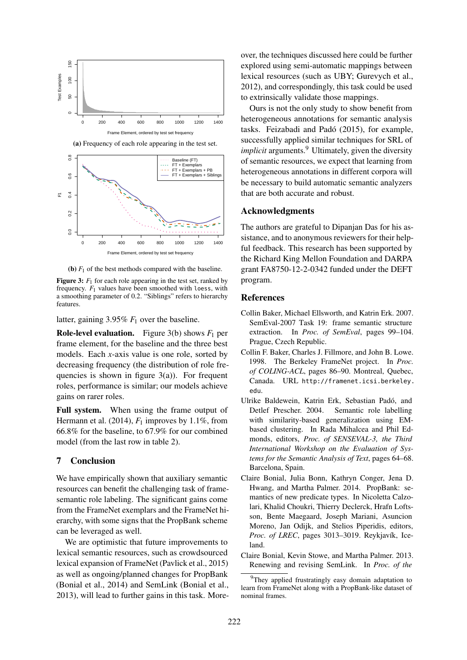

(a) Frequency of each role appearing in the test set.



(**b**)  $F_1$  of the best methods compared with the baseline.

**Figure 3:**  $F_1$  for each role appearing in the test set, ranked by frequency. *F*<sup>1</sup> values have been smoothed with loess, with a smoothing parameter of 0.2. "Siblings" refers to hierarchy features.

latter, gaining 3.95% *F*<sup>1</sup> over the baseline.

**Role-level evaluation.** Figure  $3(b)$  shows  $F_1$  per frame element, for the baseline and the three best models. Each *x*-axis value is one role, sorted by decreasing frequency (the distribution of role frequencies is shown in figure  $3(a)$ ). For frequent roles, performance is similar; our models achieve gains on rarer roles.

Full system. When using the frame output of Hermann et al.  $(2014)$ ,  $F_1$  improves by 1.1%, from 66.8% for the baseline, to 67.9% for our combined model (from the last row in table 2).

## 7 Conclusion

We have empirically shown that auxiliary semantic resources can benefit the challenging task of framesemantic role labeling. The significant gains come from the FrameNet exemplars and the FrameNet hierarchy, with some signs that the PropBank scheme can be leveraged as well.

We are optimistic that future improvements to lexical semantic resources, such as crowdsourced lexical expansion of FrameNet (Pavlick et al., 2015) as well as ongoing/planned changes for PropBank (Bonial et al., 2014) and SemLink (Bonial et al., 2013), will lead to further gains in this task. Moreover, the techniques discussed here could be further explored using semi-automatic mappings between lexical resources (such as UBY; Gurevych et al., 2012), and correspondingly, this task could be used to extrinsically validate those mappings.

Ours is not the only study to show benefit from heterogeneous annotations for semantic analysis tasks. Feizabadi and Padó (2015), for example, successfully applied similar techniques for SRL of *implicit* arguments.<sup>9</sup> Ultimately, given the diversity of semantic resources, we expect that learning from heterogeneous annotations in different corpora will be necessary to build automatic semantic analyzers that are both accurate and robust.

#### Acknowledgments

The authors are grateful to Dipanjan Das for his assistance, and to anonymous reviewers for their helpful feedback. This research has been supported by the Richard King Mellon Foundation and DARPA grant FA8750-12-2-0342 funded under the DEFT program.

### References

- Collin Baker, Michael Ellsworth, and Katrin Erk. 2007. SemEval-2007 Task 19: frame semantic structure extraction. In *Proc. of SemEval*, pages 99–104. Prague, Czech Republic.
- Collin F. Baker, Charles J. Fillmore, and John B. Lowe. 1998. The Berkeley FrameNet project. In *Proc. of COLING-ACL*, pages 86–90. Montreal, Quebec, Canada. URL http://framenet.icsi.berkeley. edu.
- Ulrike Baldewein, Katrin Erk, Sebastian Padó, and Detlef Prescher. 2004. Semantic role labelling with similarity-based generalization using EMbased clustering. In Rada Mihalcea and Phil Edmonds, editors, *Proc. of SENSEVAL-3, the Third International Workshop on the Evaluation of Systems for the Semantic Analysis of Text*, pages 64–68. Barcelona, Spain.
- Claire Bonial, Julia Bonn, Kathryn Conger, Jena D. Hwang, and Martha Palmer. 2014. PropBank: semantics of new predicate types. In Nicoletta Calzolari, Khalid Choukri, Thierry Declerck, Hrafn Loftsson, Bente Maegaard, Joseph Mariani, Asuncion Moreno, Jan Odijk, and Stelios Piperidis, editors, *Proc. of LREC*, pages 3013–3019. Reykjavík, Iceland.
- Claire Bonial, Kevin Stowe, and Martha Palmer. 2013. Renewing and revising SemLink. In *Proc. of the*

<sup>&</sup>lt;sup>9</sup>They applied frustratingly easy domain adaptation to learn from FrameNet along with a PropBank-like dataset of nominal frames.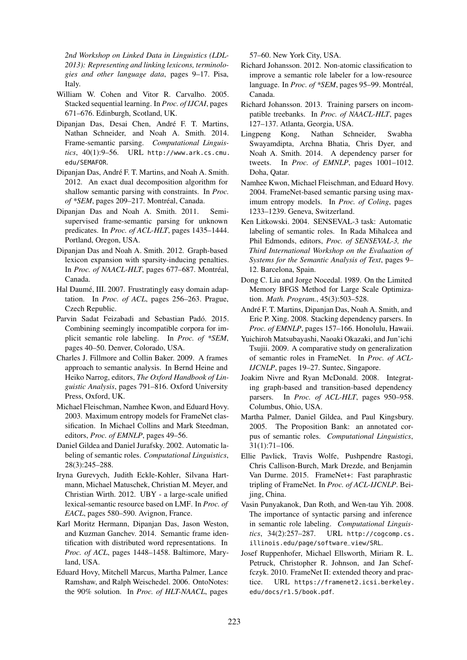*2nd Workshop on Linked Data in Linguistics (LDL-2013): Representing and linking lexicons, terminologies and other language data*, pages 9–17. Pisa, Italy.

- William W. Cohen and Vitor R. Carvalho. 2005. Stacked sequential learning. In *Proc. of IJCAI*, pages 671–676. Edinburgh, Scotland, UK.
- Dipanjan Das, Desai Chen, André F. T. Martins, Nathan Schneider, and Noah A. Smith. 2014. Frame-semantic parsing. *Computational Linguistics*, 40(1):9–56. URL http://www.ark.cs.cmu. edu/SEMAFOR.
- Dipanjan Das, André F. T. Martins, and Noah A. Smith. 2012. An exact dual decomposition algorithm for shallow semantic parsing with constraints. In *Proc. of \*SEM*, pages 209–217. Montréal, Canada.
- Dipanjan Das and Noah A. Smith. 2011. Semisupervised frame-semantic parsing for unknown predicates. In *Proc. of ACL-HLT*, pages 1435–1444. Portland, Oregon, USA.
- Dipanjan Das and Noah A. Smith. 2012. Graph-based lexicon expansion with sparsity-inducing penalties. In *Proc. of NAACL-HLT*, pages 677–687. Montréal, Canada.
- Hal Daumé, III. 2007. Frustratingly easy domain adaptation. In *Proc. of ACL*, pages 256–263. Prague, Czech Republic.
- Parvin Sadat Feizabadi and Sebastian Padó. 2015. Combining seemingly incompatible corpora for implicit semantic role labeling. In *Proc. of \*SEM*, pages 40–50. Denver, Colorado, USA.
- Charles J. Fillmore and Collin Baker. 2009. A frames approach to semantic analysis. In Bernd Heine and Heiko Narrog, editors, *The Oxford Handbook of Linguistic Analysis*, pages 791–816. Oxford University Press, Oxford, UK.
- Michael Fleischman, Namhee Kwon, and Eduard Hovy. 2003. Maximum entropy models for FrameNet classification. In Michael Collins and Mark Steedman, editors, *Proc. of EMNLP*, pages 49–56.
- Daniel Gildea and Daniel Jurafsky. 2002. Automatic labeling of semantic roles. *Computational Linguistics*, 28(3):245–288.
- Iryna Gurevych, Judith Eckle-Kohler, Silvana Hartmann, Michael Matuschek, Christian M. Meyer, and Christian Wirth. 2012. UBY - a large-scale unified lexical-semantic resource based on LMF. In *Proc. of EACL*, pages 580–590. Avignon, France.
- Karl Moritz Hermann, Dipanjan Das, Jason Weston, and Kuzman Ganchev. 2014. Semantic frame identification with distributed word representations. In *Proc. of ACL*, pages 1448–1458. Baltimore, Maryland, USA.
- Eduard Hovy, Mitchell Marcus, Martha Palmer, Lance Ramshaw, and Ralph Weischedel. 2006. OntoNotes: the 90% solution. In *Proc. of HLT-NAACL*, pages

57–60. New York City, USA.

- Richard Johansson. 2012. Non-atomic classification to improve a semantic role labeler for a low-resource language. In *Proc. of \*SEM*, pages 95–99. Montréal, Canada.
- Richard Johansson. 2013. Training parsers on incompatible treebanks. In *Proc. of NAACL-HLT*, pages 127–137. Atlanta, Georgia, USA.
- Lingpeng Kong, Nathan Schneider, Swabha Swayamdipta, Archna Bhatia, Chris Dyer, and Noah A. Smith. 2014. A dependency parser for tweets. In *Proc. of EMNLP*, pages 1001–1012. Doha, Qatar.
- Namhee Kwon, Michael Fleischman, and Eduard Hovy. 2004. FrameNet-based semantic parsing using maximum entropy models. In *Proc. of Coling*, pages 1233–1239. Geneva, Switzerland.
- Ken Litkowski. 2004. SENSEVAL-3 task: Automatic labeling of semantic roles. In Rada Mihalcea and Phil Edmonds, editors, *Proc. of SENSEVAL-3, the Third International Workshop on the Evaluation of Systems for the Semantic Analysis of Text*, pages 9– 12. Barcelona, Spain.
- Dong C. Liu and Jorge Nocedal. 1989. On the Limited Memory BFGS Method for Large Scale Optimization. *Math. Program.*, 45(3):503–528.
- André F. T. Martins, Dipanjan Das, Noah A. Smith, and Eric P. Xing. 2008. Stacking dependency parsers. In *Proc. of EMNLP*, pages 157–166. Honolulu, Hawaii.
- Yuichiroh Matsubayashi, Naoaki Okazaki, and Jun'ichi Tsujii. 2009. A comparative study on generalization of semantic roles in FrameNet. In *Proc. of ACL-IJCNLP*, pages 19–27. Suntec, Singapore.
- Joakim Nivre and Ryan McDonald. 2008. Integrating graph-based and transition-based dependency parsers. In *Proc. of ACL-HLT*, pages 950–958. Columbus, Ohio, USA.
- Martha Palmer, Daniel Gildea, and Paul Kingsbury. 2005. The Proposition Bank: an annotated corpus of semantic roles. *Computational Linguistics*, 31(1):71–106.
- Ellie Pavlick, Travis Wolfe, Pushpendre Rastogi, Chris Callison-Burch, Mark Drezde, and Benjamin Van Durme. 2015. FrameNet+: Fast paraphrastic tripling of FrameNet. In *Proc. of ACL-IJCNLP*. Beijing, China.
- Vasin Punyakanok, Dan Roth, and Wen-tau Yih. 2008. The importance of syntactic parsing and inference in semantic role labeling. *Computational Linguistics*, 34(2):257–287. URL http://cogcomp.cs. illinois.edu/page/software\_view/SRL.
- Josef Ruppenhofer, Michael Ellsworth, Miriam R. L. Petruck, Christopher R. Johnson, and Jan Scheffczyk. 2010. FrameNet II: extended theory and practice. URL https://framenet2.icsi.berkeley. edu/docs/r1.5/book.pdf.